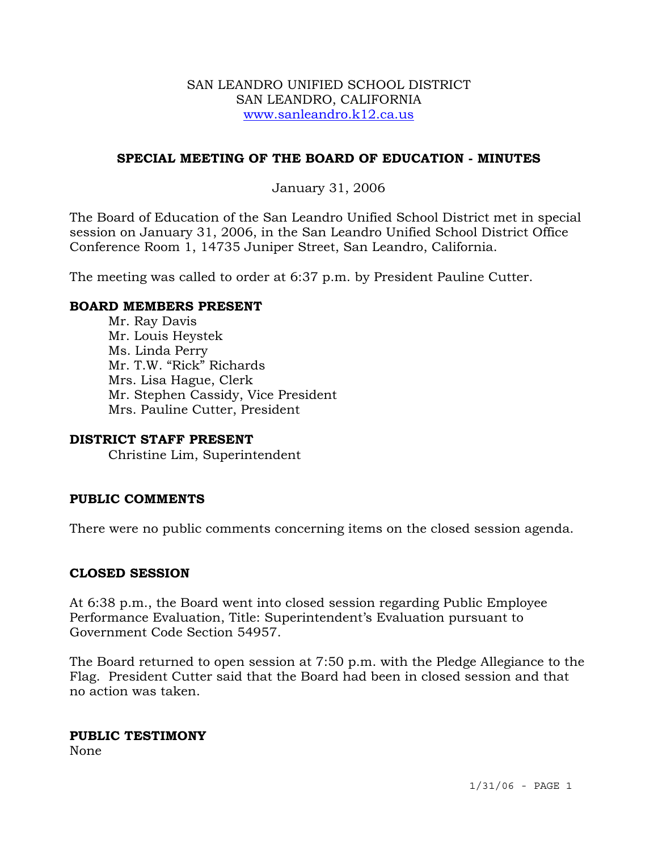#### SAN LEANDRO UNIFIED SCHOOL DISTRICT SAN LEANDRO, CALIFORNIA www.sanleandro.k12.ca.us

## **SPECIAL MEETING OF THE BOARD OF EDUCATION - MINUTES**

## January 31, 2006

The Board of Education of the San Leandro Unified School District met in special session on January 31, 2006, in the San Leandro Unified School District Office Conference Room 1, 14735 Juniper Street, San Leandro, California.

The meeting was called to order at 6:37 p.m. by President Pauline Cutter.

#### **BOARD MEMBERS PRESENT**

Mr. Ray Davis Mr. Louis Heystek Ms. Linda Perry Mr. T.W. "Rick" Richards Mrs. Lisa Hague, Clerk Mr. Stephen Cassidy, Vice President Mrs. Pauline Cutter, President

#### **DISTRICT STAFF PRESENT**

Christine Lim, Superintendent

#### **PUBLIC COMMENTS**

There were no public comments concerning items on the closed session agenda.

#### **CLOSED SESSION**

At 6:38 p.m., the Board went into closed session regarding Public Employee Performance Evaluation, Title: Superintendent's Evaluation pursuant to Government Code Section 54957.

The Board returned to open session at 7:50 p.m. with the Pledge Allegiance to the Flag. President Cutter said that the Board had been in closed session and that no action was taken.

#### **PUBLIC TESTIMONY**

None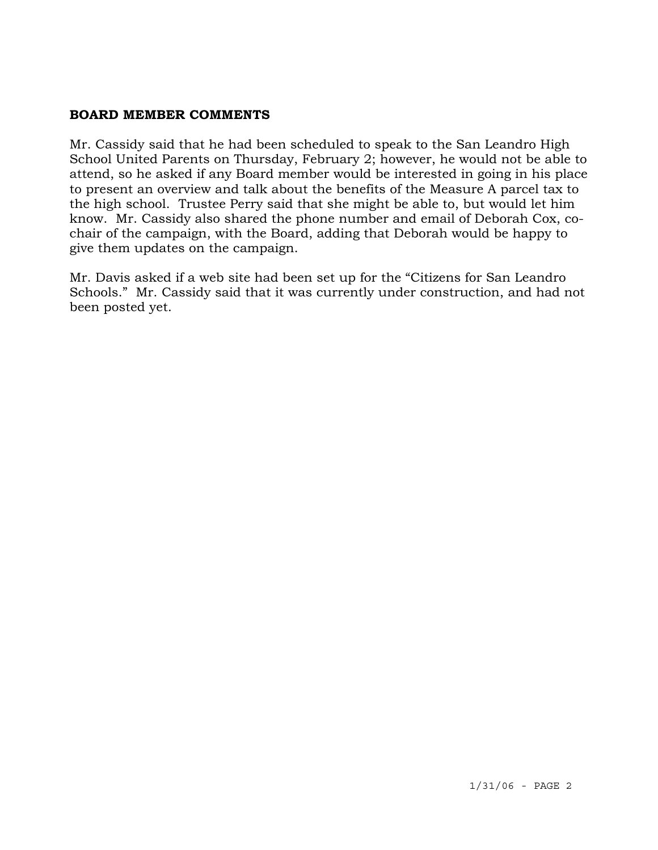### **BOARD MEMBER COMMENTS**

Mr. Cassidy said that he had been scheduled to speak to the San Leandro High School United Parents on Thursday, February 2; however, he would not be able to attend, so he asked if any Board member would be interested in going in his place to present an overview and talk about the benefits of the Measure A parcel tax to the high school. Trustee Perry said that she might be able to, but would let him know. Mr. Cassidy also shared the phone number and email of Deborah Cox, cochair of the campaign, with the Board, adding that Deborah would be happy to give them updates on the campaign.

Mr. Davis asked if a web site had been set up for the "Citizens for San Leandro Schools." Mr. Cassidy said that it was currently under construction, and had not been posted yet.